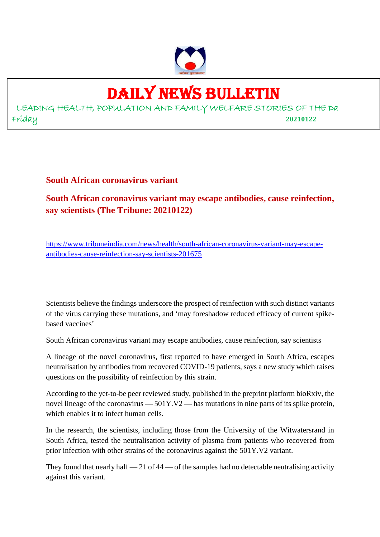

### DAILY NEWS BULLETIN

LEADING HEALTH, POPULATION AND FAMILY WELFARE STORIES OF THE Da Friday **20210122**

**South African coronavirus variant**

**South African coronavirus variant may escape antibodies, cause reinfection, say scientists (The Tribune: 20210122)**

https://www.tribuneindia.com/news/health/south-african-coronavirus-variant-may-escapeantibodies-cause-reinfection-say-scientists-201675

Scientists believe the findings underscore the prospect of reinfection with such distinct variants of the virus carrying these mutations, and 'may foreshadow reduced efficacy of current spikebased vaccines'

South African coronavirus variant may escape antibodies, cause reinfection, say scientists

A lineage of the novel coronavirus, first reported to have emerged in South Africa, escapes neutralisation by antibodies from recovered COVID-19 patients, says a new study which raises questions on the possibility of reinfection by this strain.

According to the yet-to-be peer reviewed study, published in the preprint platform bioRxiv, the novel lineage of the coronavirus — 501Y.V2 — has mutations in nine parts of its spike protein, which enables it to infect human cells.

In the research, the scientists, including those from the University of the Witwatersrand in South Africa, tested the neutralisation activity of plasma from patients who recovered from prior infection with other strains of the coronavirus against the 501Y.V2 variant.

They found that nearly half  $-21$  of  $44$   $-$  of the samples had no detectable neutralising activity against this variant.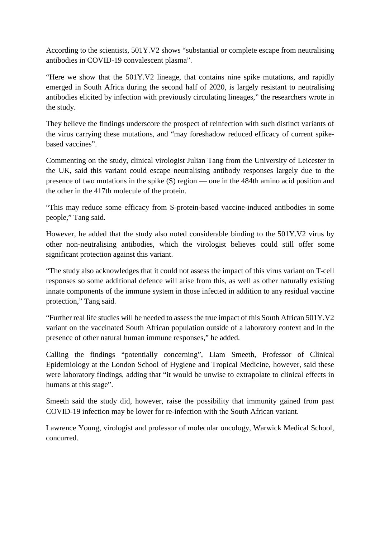According to the scientists, 501Y.V2 shows "substantial or complete escape from neutralising antibodies in COVID-19 convalescent plasma".

"Here we show that the 501Y.V2 lineage, that contains nine spike mutations, and rapidly emerged in South Africa during the second half of 2020, is largely resistant to neutralising antibodies elicited by infection with previously circulating lineages," the researchers wrote in the study.

They believe the findings underscore the prospect of reinfection with such distinct variants of the virus carrying these mutations, and "may foreshadow reduced efficacy of current spikebased vaccines".

Commenting on the study, clinical virologist Julian Tang from the University of Leicester in the UK, said this variant could escape neutralising antibody responses largely due to the presence of two mutations in the spike (S) region — one in the 484th amino acid position and the other in the 417th molecule of the protein.

"This may reduce some efficacy from S-protein-based vaccine-induced antibodies in some people," Tang said.

However, he added that the study also noted considerable binding to the 501Y.V2 virus by other non-neutralising antibodies, which the virologist believes could still offer some significant protection against this variant.

"The study also acknowledges that it could not assess the impact of this virus variant on T-cell responses so some additional defence will arise from this, as well as other naturally existing innate components of the immune system in those infected in addition to any residual vaccine protection," Tang said.

"Further real life studies will be needed to assess the true impact of this South African 501Y.V2 variant on the vaccinated South African population outside of a laboratory context and in the presence of other natural human immune responses," he added.

Calling the findings "potentially concerning", Liam Smeeth, Professor of Clinical Epidemiology at the London School of Hygiene and Tropical Medicine, however, said these were laboratory findings, adding that "it would be unwise to extrapolate to clinical effects in humans at this stage".

Smeeth said the study did, however, raise the possibility that immunity gained from past COVID-19 infection may be lower for re-infection with the South African variant.

Lawrence Young, virologist and professor of molecular oncology, Warwick Medical School, concurred.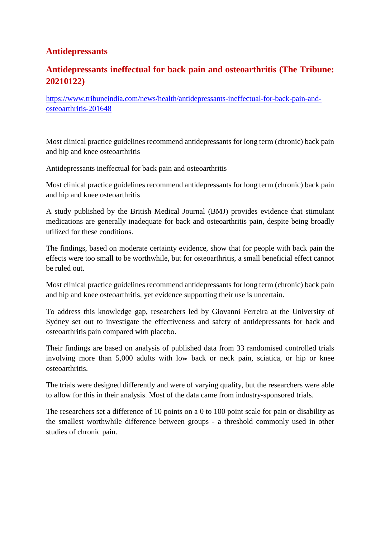#### **Antidepressants**

#### **Antidepressants ineffectual for back pain and osteoarthritis (The Tribune: 20210122)**

https://www.tribuneindia.com/news/health/antidepressants-ineffectual-for-back-pain-andosteoarthritis-201648

Most clinical practice guidelines recommend antidepressants for long term (chronic) back pain and hip and knee osteoarthritis

Antidepressants ineffectual for back pain and osteoarthritis

Most clinical practice guidelines recommend antidepressants for long term (chronic) back pain and hip and knee osteoarthritis

A study published by the British Medical Journal (BMJ) provides evidence that stimulant medications are generally inadequate for back and osteoarthritis pain, despite being broadly utilized for these conditions.

The findings, based on moderate certainty evidence, show that for people with back pain the effects were too small to be worthwhile, but for osteoarthritis, a small beneficial effect cannot be ruled out.

Most clinical practice guidelines recommend antidepressants for long term (chronic) back pain and hip and knee osteoarthritis, yet evidence supporting their use is uncertain.

To address this knowledge gap, researchers led by Giovanni Ferreira at the University of Sydney set out to investigate the effectiveness and safety of antidepressants for back and osteoarthritis pain compared with placebo.

Their findings are based on analysis of published data from 33 randomised controlled trials involving more than 5,000 adults with low back or neck pain, sciatica, or hip or knee osteoarthritis.

The trials were designed differently and were of varying quality, but the researchers were able to allow for this in their analysis. Most of the data came from industry-sponsored trials.

The researchers set a difference of 10 points on a 0 to 100 point scale for pain or disability as the smallest worthwhile difference between groups - a threshold commonly used in other studies of chronic pain.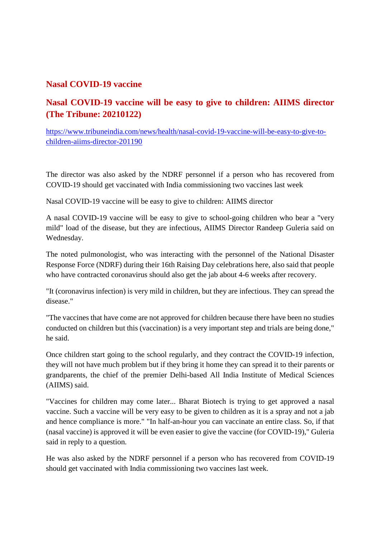#### **Nasal COVID-19 vaccine**

#### **Nasal COVID-19 vaccine will be easy to give to children: AIIMS director (The Tribune: 20210122)**

https://www.tribuneindia.com/news/health/nasal-covid-19-vaccine-will-be-easy-to-give-tochildren-aiims-director-201190

The director was also asked by the NDRF personnel if a person who has recovered from COVID-19 should get vaccinated with India commissioning two vaccines last week

Nasal COVID-19 vaccine will be easy to give to children: AIIMS director

A nasal COVID-19 vaccine will be easy to give to school-going children who bear a "very mild" load of the disease, but they are infectious, AIIMS Director Randeep Guleria said on Wednesday.

The noted pulmonologist, who was interacting with the personnel of the National Disaster Response Force (NDRF) during their 16th Raising Day celebrations here, also said that people who have contracted coronavirus should also get the jab about 4-6 weeks after recovery.

"It (coronavirus infection) is very mild in children, but they are infectious. They can spread the disease."

"The vaccines that have come are not approved for children because there have been no studies conducted on children but this (vaccination) is a very important step and trials are being done," he said.

Once children start going to the school regularly, and they contract the COVID-19 infection, they will not have much problem but if they bring it home they can spread it to their parents or grandparents, the chief of the premier Delhi-based All India Institute of Medical Sciences (AIIMS) said.

"Vaccines for children may come later... Bharat Biotech is trying to get approved a nasal vaccine. Such a vaccine will be very easy to be given to children as it is a spray and not a jab and hence compliance is more." "In half-an-hour you can vaccinate an entire class. So, if that (nasal vaccine) is approved it will be even easier to give the vaccine (for COVID-19)," Guleria said in reply to a question.

He was also asked by the NDRF personnel if a person who has recovered from COVID-19 should get vaccinated with India commissioning two vaccines last week.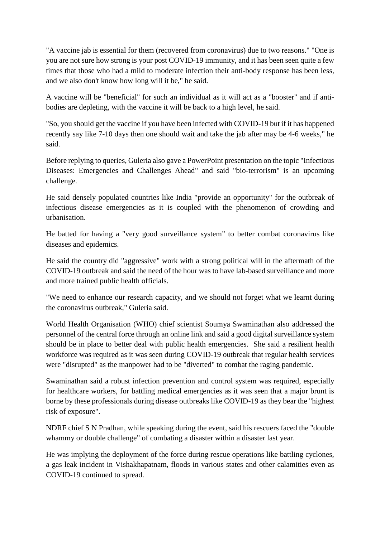"A vaccine jab is essential for them (recovered from coronavirus) due to two reasons." "One is you are not sure how strong is your post COVID-19 immunity, and it has been seen quite a few times that those who had a mild to moderate infection their anti-body response has been less, and we also don't know how long will it be," he said.

A vaccine will be "beneficial" for such an individual as it will act as a "booster" and if antibodies are depleting, with the vaccine it will be back to a high level, he said.

"So, you should get the vaccine if you have been infected with COVID-19 but if it has happened recently say like 7-10 days then one should wait and take the jab after may be 4-6 weeks," he said.

Before replying to queries, Guleria also gave a PowerPoint presentation on the topic "Infectious Diseases: Emergencies and Challenges Ahead" and said "bio-terrorism" is an upcoming challenge.

He said densely populated countries like India "provide an opportunity" for the outbreak of infectious disease emergencies as it is coupled with the phenomenon of crowding and urbanisation.

He batted for having a "very good surveillance system" to better combat coronavirus like diseases and epidemics.

He said the country did "aggressive" work with a strong political will in the aftermath of the COVID-19 outbreak and said the need of the hour was to have lab-based surveillance and more and more trained public health officials.

"We need to enhance our research capacity, and we should not forget what we learnt during the coronavirus outbreak," Guleria said.

World Health Organisation (WHO) chief scientist Soumya Swaminathan also addressed the personnel of the central force through an online link and said a good digital surveillance system should be in place to better deal with public health emergencies. She said a resilient health workforce was required as it was seen during COVID-19 outbreak that regular health services were "disrupted" as the manpower had to be "diverted" to combat the raging pandemic.

Swaminathan said a robust infection prevention and control system was required, especially for healthcare workers, for battling medical emergencies as it was seen that a major brunt is borne by these professionals during disease outbreaks like COVID-19 as they bear the "highest risk of exposure".

NDRF chief S N Pradhan, while speaking during the event, said his rescuers faced the "double whammy or double challenge" of combating a disaster within a disaster last year.

He was implying the deployment of the force during rescue operations like battling cyclones, a gas leak incident in Vishakhapatnam, floods in various states and other calamities even as COVID-19 continued to spread.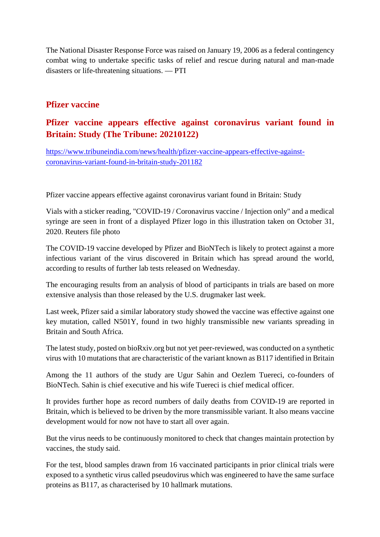The National Disaster Response Force was raised on January 19, 2006 as a federal contingency combat wing to undertake specific tasks of relief and rescue during natural and man-made disasters or life-threatening situations. — PTI

#### **Pfizer vaccine**

#### **Pfizer vaccine appears effective against coronavirus variant found in Britain: Study (The Tribune: 20210122)**

https://www.tribuneindia.com/news/health/pfizer-vaccine-appears-effective-againstcoronavirus-variant-found-in-britain-study-201182

Pfizer vaccine appears effective against coronavirus variant found in Britain: Study

Vials with a sticker reading, "COVID-19 / Coronavirus vaccine / Injection only" and a medical syringe are seen in front of a displayed Pfizer logo in this illustration taken on October 31, 2020. Reuters file photo

The COVID-19 vaccine developed by Pfizer and BioNTech is likely to protect against a more infectious variant of the virus discovered in Britain which has spread around the world, according to results of further lab tests released on Wednesday.

The encouraging results from an analysis of blood of participants in trials are based on more extensive analysis than those released by the U.S. drugmaker last week.

Last week, Pfizer said a similar laboratory study showed the vaccine was effective against one key mutation, called N501Y, found in two highly transmissible new variants spreading in Britain and South Africa.

The latest study, posted on bioRxiv.org but not yet peer-reviewed, was conducted on a synthetic virus with 10 mutations that are characteristic of the variant known as B117 identified in Britain

Among the 11 authors of the study are Ugur Sahin and Oezlem Tuereci, co-founders of BioNTech. Sahin is chief executive and his wife Tuereci is chief medical officer.

It provides further hope as record numbers of daily deaths from COVID-19 are reported in Britain, which is believed to be driven by the more transmissible variant. It also means vaccine development would for now not have to start all over again.

But the virus needs to be continuously monitored to check that changes maintain protection by vaccines, the study said.

For the test, blood samples drawn from 16 vaccinated participants in prior clinical trials were exposed to a synthetic virus called pseudovirus which was engineered to have the same surface proteins as B117, as characterised by 10 hallmark mutations.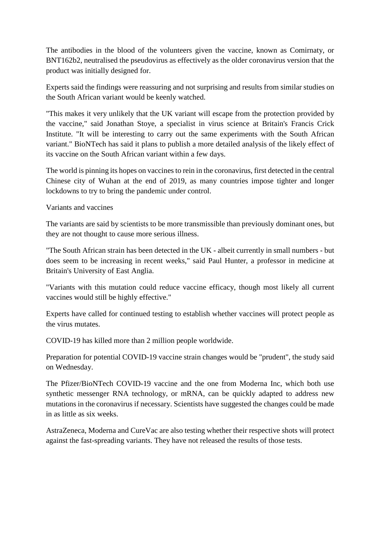The antibodies in the blood of the volunteers given the vaccine, known as Comirnaty, or BNT162b2, neutralised the pseudovirus as effectively as the older coronavirus version that the product was initially designed for.

Experts said the findings were reassuring and not surprising and results from similar studies on the South African variant would be keenly watched.

"This makes it very unlikely that the UK variant will escape from the protection provided by the vaccine," said Jonathan Stoye, a specialist in virus science at Britain's Francis Crick Institute. "It will be interesting to carry out the same experiments with the South African variant." BioNTech has said it plans to publish a more detailed analysis of the likely effect of its vaccine on the South African variant within a few days.

The world is pinning its hopes on vaccines to rein in the coronavirus, first detected in the central Chinese city of Wuhan at the end of 2019, as many countries impose tighter and longer lockdowns to try to bring the pandemic under control.

Variants and vaccines

The variants are said by scientists to be more transmissible than previously dominant ones, but they are not thought to cause more serious illness.

"The South African strain has been detected in the UK - albeit currently in small numbers - but does seem to be increasing in recent weeks," said Paul Hunter, a professor in medicine at Britain's University of East Anglia.

"Variants with this mutation could reduce vaccine efficacy, though most likely all current vaccines would still be highly effective."

Experts have called for continued testing to establish whether vaccines will protect people as the virus mutates.

COVID-19 has killed more than 2 million people worldwide.

Preparation for potential COVID-19 vaccine strain changes would be "prudent", the study said on Wednesday.

The Pfizer/BioNTech COVID-19 vaccine and the one from Moderna Inc, which both use synthetic messenger RNA technology, or mRNA, can be quickly adapted to address new mutations in the coronavirus if necessary. Scientists have suggested the changes could be made in as little as six weeks.

AstraZeneca, Moderna and CureVac are also testing whether their respective shots will protect against the fast-spreading variants. They have not released the results of those tests.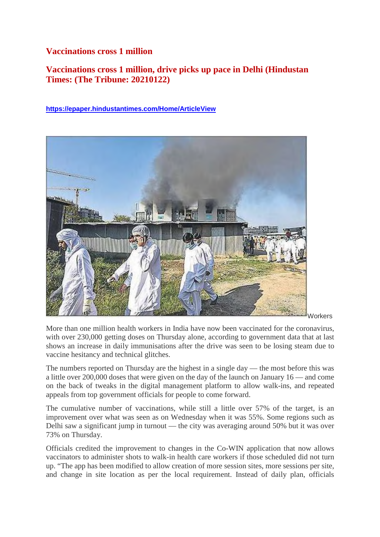#### **Vaccinations cross 1 million**

#### **Vaccinations cross 1 million, drive picks up pace in Delhi (Hindustan Times: (The Tribune: 20210122)**

#### **https://epaper.hindustantimes.com/Home/ArticleView**



More than one million health workers in India have now been vaccinated for the coronavirus, with over 230,000 getting doses on Thursday alone, according to government data that at last shows an increase in daily immunisations after the drive was seen to be losing steam due to vaccine hesitancy and technical glitches.

The numbers reported on Thursday are the highest in a single day — the most before this was a little over 200,000 doses that were given on the day of the launch on January 16 — and come on the back of tweaks in the digital management platform to allow walk-ins, and repeated appeals from top government officials for people to come forward.

The cumulative number of vaccinations, while still a little over 57% of the target, is an improvement over what was seen as on Wednesday when it was 55%. Some regions such as Delhi saw a significant jump in turnout — the city was averaging around 50% but it was over 73% on Thursday.

Officials credited the improvement to changes in the Co-WIN application that now allows vaccinators to administer shots to walk-in health care workers if those scheduled did not turn up. "The app has been modified to allow creation of more session sites, more sessions per site, and change in site location as per the local requirement. Instead of daily plan, officials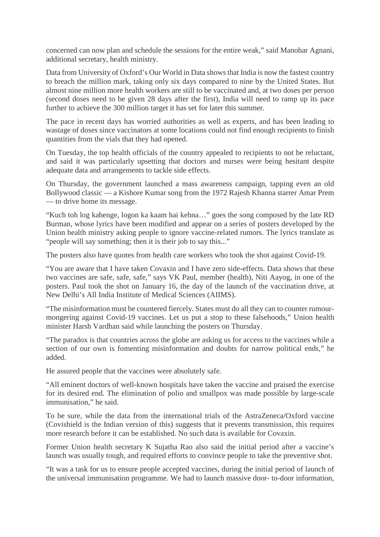concerned can now plan and schedule the sessions for the entire weak," said Manohar Agnani, additional secretary, health ministry.

Data from University of Oxford's Our World in Data shows that India is now the fastest country to breach the million mark, taking only six days compared to nine by the United States. But almost nine million more health workers are still to be vaccinated and, at two doses per person (second doses need to be given 28 days after the first), India will need to ramp up its pace further to achieve the 300 million target it has set for later this summer.

The pace in recent days has worried authorities as well as experts, and has been leading to wastage of doses since vaccinators at some locations could not find enough recipients to finish quantities from the vials that they had opened.

On Tuesday, the top health officials of the country appealed to recipients to not be reluctant, and said it was particularly upsetting that doctors and nurses were being hesitant despite adequate data and arrangements to tackle side effects.

On Thursday, the government launched a mass awareness campaign, tapping even an old Bollywood classic — a Kishore Kumar song from the 1972 Rajesh Khanna starrer Amar Prem — to drive home its message.

"Kuch toh log kahenge, logon ka kaam hai kehna…" goes the song composed by the late RD Burman, whose lyrics have been modified and appear on a series of posters developed by the Union health ministry asking people to ignore vaccine-related rumors. The lyrics translate as "people will say something; then it is their job to say this..."

The posters also have quotes from health care workers who took the shot against Covid-19.

"You are aware that I have taken Covaxin and I have zero side-effects. Data shows that these two vaccines are safe, safe, safe," says VK Paul, member (health), Niti Aayog, in one of the posters. Paul took the shot on January 16, the day of the launch of the vaccination drive, at New Delhi's All India Institute of Medical Sciences (AIIMS).

"The misinformation must be countered fiercely. States must do all they can to counter rumourmongering against Covid-19 vaccines. Let us put a stop to these falsehoods," Union health minister Harsh Vardhan said while launching the posters on Thursday.

"The paradox is that countries across the globe are asking us for access to the vaccines while a section of our own is fomenting misinformation and doubts for narrow political ends," he added.

He assured people that the vaccines were absolutely safe.

"All eminent doctors of well-known hospitals have taken the vaccine and praised the exercise for its desired end. The elimination of polio and smallpox was made possible by large-scale immunisation," he said.

To be sure, while the data from the international trials of the AstraZeneca/Oxford vaccine (Covishield is the Indian version of this) suggests that it prevents transmission, this requires more research before it can be established. No such data is available for Covaxin.

Former Union health secretary K Sujatha Rao also said the initial period after a vaccine's launch was usually tough, and required efforts to convince people to take the preventive shot.

"It was a task for us to ensure people accepted vaccines, during the initial period of launch of the universal immunisation programme. We had to launch massive door- to-door information,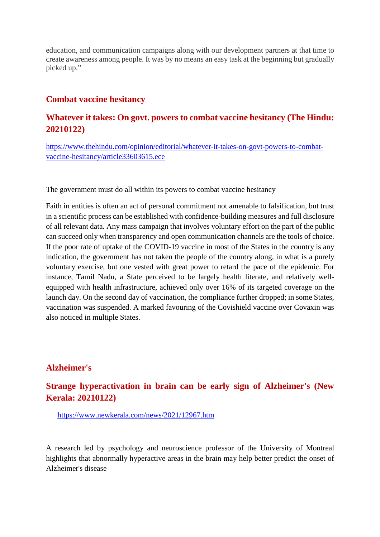education, and communication campaigns along with our development partners at that time to create awareness among people. It was by no means an easy task at the beginning but gradually picked up."

#### **Combat vaccine hesitancy**

#### **Whatever it takes: On govt. powers to combat vaccine hesitancy (The Hindu: 20210122)**

https://www.thehindu.com/opinion/editorial/whatever-it-takes-on-govt-powers-to-combatvaccine-hesitancy/article33603615.ece

The government must do all within its powers to combat vaccine hesitancy

Faith in entities is often an act of personal commitment not amenable to falsification, but trust in a scientific process can be established with confidence-building measures and full disclosure of all relevant data. Any mass campaign that involves voluntary effort on the part of the public can succeed only when transparency and open communication channels are the tools of choice. If the poor rate of uptake of the COVID-19 vaccine in most of the States in the country is any indication, the government has not taken the people of the country along, in what is a purely voluntary exercise, but one vested with great power to retard the pace of the epidemic. For instance, Tamil Nadu, a State perceived to be largely health literate, and relatively wellequipped with health infrastructure, achieved only over 16% of its targeted coverage on the launch day. On the second day of vaccination, the compliance further dropped; in some States, vaccination was suspended. A marked favouring of the Covishield vaccine over Covaxin was also noticed in multiple States.

#### **Alzheimer's**

#### **Strange hyperactivation in brain can be early sign of Alzheimer's (New Kerala: 20210122)**

https://www.newkerala.com/news/2021/12967.htm

A research led by psychology and neuroscience professor of the University of Montreal highlights that abnormally hyperactive areas in the brain may help better predict the onset of Alzheimer's disease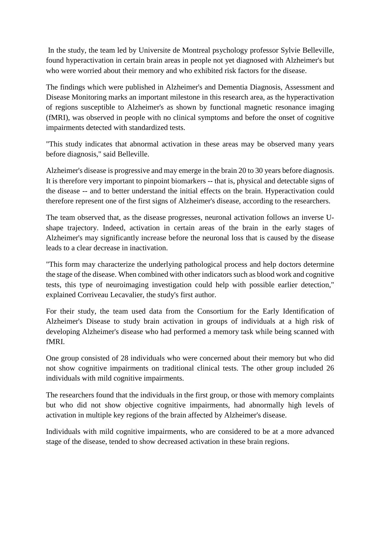In the study, the team led by Universite de Montreal psychology professor Sylvie Belleville, found hyperactivation in certain brain areas in people not yet diagnosed with Alzheimer's but who were worried about their memory and who exhibited risk factors for the disease.

The findings which were published in Alzheimer's and Dementia Diagnosis, Assessment and Disease Monitoring marks an important milestone in this research area, as the hyperactivation of regions susceptible to Alzheimer's as shown by functional magnetic resonance imaging (fMRI), was observed in people with no clinical symptoms and before the onset of cognitive impairments detected with standardized tests.

"This study indicates that abnormal activation in these areas may be observed many years before diagnosis," said Belleville.

Alzheimer's disease is progressive and may emerge in the brain 20 to 30 years before diagnosis. It is therefore very important to pinpoint biomarkers -- that is, physical and detectable signs of the disease -- and to better understand the initial effects on the brain. Hyperactivation could therefore represent one of the first signs of Alzheimer's disease, according to the researchers.

The team observed that, as the disease progresses, neuronal activation follows an inverse Ushape trajectory. Indeed, activation in certain areas of the brain in the early stages of Alzheimer's may significantly increase before the neuronal loss that is caused by the disease leads to a clear decrease in inactivation.

"This form may characterize the underlying pathological process and help doctors determine the stage of the disease. When combined with other indicators such as blood work and cognitive tests, this type of neuroimaging investigation could help with possible earlier detection," explained Corriveau Lecavalier, the study's first author.

For their study, the team used data from the Consortium for the Early Identification of Alzheimer's Disease to study brain activation in groups of individuals at a high risk of developing Alzheimer's disease who had performed a memory task while being scanned with fMRI.

One group consisted of 28 individuals who were concerned about their memory but who did not show cognitive impairments on traditional clinical tests. The other group included 26 individuals with mild cognitive impairments.

The researchers found that the individuals in the first group, or those with memory complaints but who did not show objective cognitive impairments, had abnormally high levels of activation in multiple key regions of the brain affected by Alzheimer's disease.

Individuals with mild cognitive impairments, who are considered to be at a more advanced stage of the disease, tended to show decreased activation in these brain regions.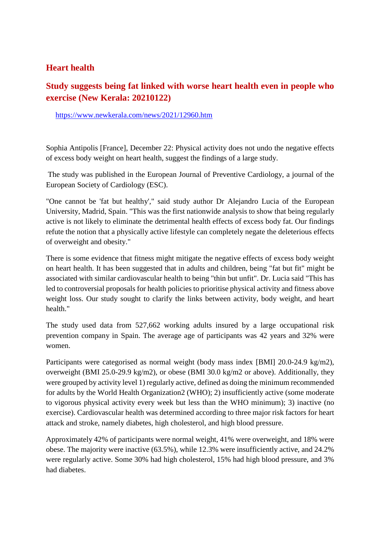#### **Heart health**

#### **Study suggests being fat linked with worse heart health even in people who exercise (New Kerala: 20210122)**

https://www.newkerala.com/news/2021/12960.htm

Sophia Antipolis [France], December 22: Physical activity does not undo the negative effects of excess body weight on heart health, suggest the findings of a large study.

The study was published in the European Journal of Preventive Cardiology, a journal of the European Society of Cardiology (ESC).

"One cannot be 'fat but healthy'," said study author Dr Alejandro Lucia of the European University, Madrid, Spain. "This was the first nationwide analysis to show that being regularly active is not likely to eliminate the detrimental health effects of excess body fat. Our findings refute the notion that a physically active lifestyle can completely negate the deleterious effects of overweight and obesity."

There is some evidence that fitness might mitigate the negative effects of excess body weight on heart health. It has been suggested that in adults and children, being "fat but fit" might be associated with similar cardiovascular health to being "thin but unfit". Dr. Lucia said "This has led to controversial proposals for health policies to prioritise physical activity and fitness above weight loss. Our study sought to clarify the links between activity, body weight, and heart health."

The study used data from 527,662 working adults insured by a large occupational risk prevention company in Spain. The average age of participants was 42 years and 32% were women.

Participants were categorised as normal weight (body mass index [BMI] 20.0-24.9 kg/m2), overweight (BMI 25.0-29.9 kg/m2), or obese (BMI 30.0 kg/m2 or above). Additionally, they were grouped by activity level 1) regularly active, defined as doing the minimum recommended for adults by the World Health Organization2 (WHO); 2) insufficiently active (some moderate to vigorous physical activity every week but less than the WHO minimum); 3) inactive (no exercise). Cardiovascular health was determined according to three major risk factors for heart attack and stroke, namely diabetes, high cholesterol, and high blood pressure.

Approximately 42% of participants were normal weight, 41% were overweight, and 18% were obese. The majority were inactive (63.5%), while 12.3% were insufficiently active, and 24.2% were regularly active. Some 30% had high cholesterol, 15% had high blood pressure, and 3% had diabetes.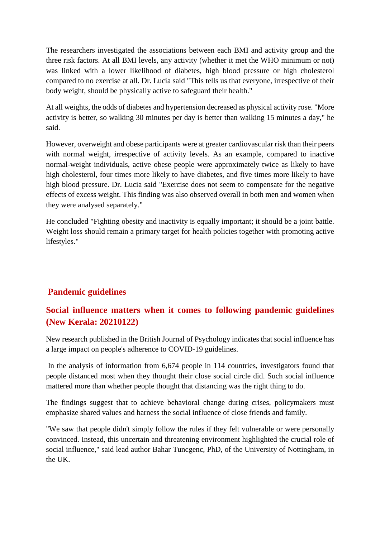The researchers investigated the associations between each BMI and activity group and the three risk factors. At all BMI levels, any activity (whether it met the WHO minimum or not) was linked with a lower likelihood of diabetes, high blood pressure or high cholesterol compared to no exercise at all. Dr. Lucia said "This tells us that everyone, irrespective of their body weight, should be physically active to safeguard their health."

At all weights, the odds of diabetes and hypertension decreased as physical activity rose. "More activity is better, so walking 30 minutes per day is better than walking 15 minutes a day," he said.

However, overweight and obese participants were at greater cardiovascular risk than their peers with normal weight, irrespective of activity levels. As an example, compared to inactive normal-weight individuals, active obese people were approximately twice as likely to have high cholesterol, four times more likely to have diabetes, and five times more likely to have high blood pressure. Dr. Lucia said "Exercise does not seem to compensate for the negative effects of excess weight. This finding was also observed overall in both men and women when they were analysed separately."

He concluded "Fighting obesity and inactivity is equally important; it should be a joint battle. Weight loss should remain a primary target for health policies together with promoting active lifestyles."

#### **Pandemic guidelines**

#### **Social influence matters when it comes to following pandemic guidelines (New Kerala: 20210122)**

New research published in the British Journal of Psychology indicates that social influence has a large impact on people's adherence to COVID-19 guidelines.

In the analysis of information from 6,674 people in 114 countries, investigators found that people distanced most when they thought their close social circle did. Such social influence mattered more than whether people thought that distancing was the right thing to do.

The findings suggest that to achieve behavioral change during crises, policymakers must emphasize shared values and harness the social influence of close friends and family.

"We saw that people didn't simply follow the rules if they felt vulnerable or were personally convinced. Instead, this uncertain and threatening environment highlighted the crucial role of social influence," said lead author Bahar Tuncgenc, PhD, of the University of Nottingham, in the UK.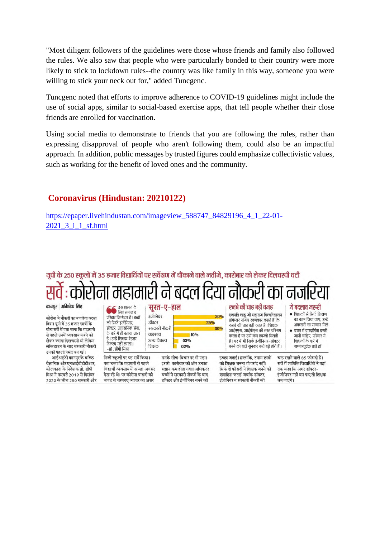"Most diligent followers of the guidelines were those whose friends and family also followed the rules. We also saw that people who were particularly bonded to their country were more likely to stick to lockdown rules--the country was like family in this way, someone you were willing to stick your neck out for," added Tuncgenc.

Tuncgenc noted that efforts to improve adherence to COVID-19 guidelines might include the use of social apps, similar to social-based exercise apps, that tell people whether their close friends are enrolled for vaccination.

Using social media to demonstrate to friends that you are following the rules, rather than expressing disapproval of people who aren't following them, could also be an impactful approach. In addition, public messages by trusted figures could emphasize collectivistic values, such as working for the benefit of loved ones and the community.

#### **Coronavirus (Hindustan: 20210122)**

वजह से चरमराए व्यापार का असर

2020 के बीच 250 सरकारी और

https://epaper.livehindustan.com/imageview\_588747\_84829196\_4\_1\_22-01-2021 3 i 1 sf.html

#### यूपी के 250 स्कूलों में 35 हजार विद्यार्थियों पर सर्वेक्षण में चौंकाने वाले नतीजे, कारोबार को लेकर दिलचस्पी घटी सर्वे : कोरोना महामारी ने बदल दिया नौकरी का नजरिया

| कानपुर   अभिषेक सिंह<br>$\begin{array}{c} \bigodot \ \text{S} \ \text{C} \ \text{C} \ \text{C} \ \text{C} \ \text{C} \ \text{C} \ \text{C} \ \text{C} \ \text{C} \ \text{C} \ \text{C} \ \text{C} \ \text{C} \ \text{C} \ \text{C} \ \text{C} \ \text{C} \ \text{C} \ \text{C} \ \text{C} \ \text{C} \ \text{C} \ \text{C} \ \text{C} \ \text{C} \ \text{C} \ \text{C} \ \text{C} \ \text{C} \ \text{C} \ \text{C} \ \text{C} \ \text{C} \ \text{$ |                                                                                                                                       | सूरत−ए−हाल                       |                                                                                                                     |     | रुतबे की चाह बडी वजह                                                                                                               | ये बदलाव जरूरी<br>• शिक्षकों से सिर्फ शिक्षण                                                                                     |
|----------------------------------------------------------------------------------------------------------------------------------------------------------------------------------------------------------------------------------------------------------------------------------------------------------------------------------------------------------------------------------------------------------------------------------------------------|---------------------------------------------------------------------------------------------------------------------------------------|----------------------------------|---------------------------------------------------------------------------------------------------------------------|-----|------------------------------------------------------------------------------------------------------------------------------------|----------------------------------------------------------------------------------------------------------------------------------|
| कोरोना ने नौकरी का नजरिया बदल<br>दिया। यपी में 35 हजार छात्रों के                                                                                                                                                                                                                                                                                                                                                                                  | परिवार जिम्मेदार है । बच्चों<br>को सिर्फ इंजीनियर.                                                                                    | इंजीनियर<br>डॉक्टर               | 25%                                                                                                                 | 30% | छत्रपति शाहू जी महाराज विश्वविद्यालय<br>प्रोफेसर संजय स्वर्णकार कहते हैं कि                                                        | का काम लिया जाए. उन्हें<br>अफसरों सा सम्मान मिले                                                                                 |
| बीच सर्वे में पता चला कि महामारी                                                                                                                                                                                                                                                                                                                                                                                                                   | डॉक्टर. प्रशासनिक सेवा.                                                                                                               | सरकारी नौकरी                     |                                                                                                                     | 30% | रुतबे की चाह बडी वजह है । शिक्षक<br>आईएएस. आईपीएस की तरह परिश्रम                                                                   | • चयन में पारदर्शिता बरती                                                                                                        |
| से पहले उनमें व्यवसाय करने को<br>लेकर ज्यादा दिलचस्पी थी लेकिन<br>लॉकडाउन के बाद सरकारी नौकरी<br>उनकी पहली पसंद बन गई।                                                                                                                                                                                                                                                                                                                             | के बारे में ही बताया जाता<br>है। उन्हें शिक्षक बेहतर<br>विकल्प नहीं लगता।<br>-प्रो. डीपी मिश्रा                                       | व्यवसाय<br>अन्य विकल्प<br>शिक्षक | 10%<br>03%<br>02%                                                                                                   |     | करता है पर उसे कम तवज्जो मिलती<br>है। घर में भी सिर्फ इंजीनियर-डॉक्टर<br>बनने की बातें सुनकर बच्चे बडे होते हैं ।                  | जानी चाहिए. परिवार में<br>शिक्षकों के बारे में<br>सम्मानपर्वक बातें हों                                                          |
| आईआईटी कानपुर के वरिष्ठ<br>वैज्ञानिक और एनआईटीटीटीआर.<br>कोलकाता के निदेशक प्रो. डीपी<br>मिश्रा ने फरवरी 2019 से दिसंबर                                                                                                                                                                                                                                                                                                                            | निजी स्कूलों पर यह सर्वे किया।<br>पता चला कि महामारी से पहले<br>विद्यार्थी व्यवसाय में अच्छा अवसर<br>देख रहे थे। पर कोरोना त्रासदी की |                                  | उनके सोच-विचार पर भी पड़ा।<br>इससे कारोबार की ओर उनका<br>रुझान कम होता गया। अधिकतर<br>बच्चों ने सरकारी नौकरी के बाद |     | इच्छा जताई। हालांकि, तमाम छात्रों<br>को शिक्षक बनना भी पसंद नहीं।<br>सिर्फ दो फीसदी ने शिक्षक बनने की<br>ख्वाहिश जताई जबकि डॉक्टर. | चाह रखने वाले 85 फीसदी हैं।<br>सर्वे में शामिलि विद्यार्थियों ने यहां<br>तक कहा कि अगर डॉक्टर-<br>इंजीनियर नहीं बन पाए तो शिक्षक |

डॉक्टर और इंजीनियर बनने की

इंजीनियर व सरकारी नौकरी की

बन जाएंगे।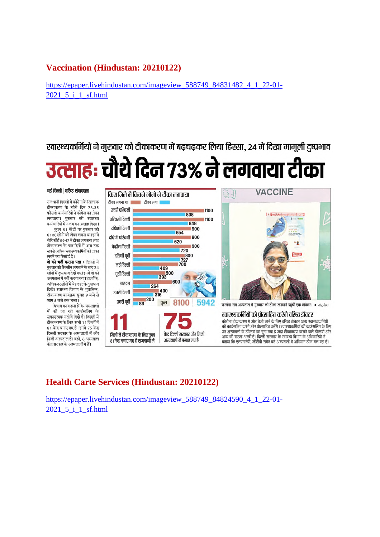#### **Vaccination (Hindustan: 20210122)**

https://epaper.livehindustan.com/imageview\_588749\_84831482\_4\_1\_22-01-2021 5 i 1 sf.html

स्वास्थ्यकर्मियों ने गुरुवार को टीकाकरण में बढ़चढ़कर लिया हिस्सा, 24 में दिखा मामूली दुष्प्रभाव

## उत्साहः चौथे दिन 73% ने लगवाया टीका

#### नई दिल्ली | वरिष्ठ संवाददाता

राजधानी दिल्ली में कोरोना के खिलाफ टीकाकरण के चौथे दिन 73.35 फीसदी कर्मचारियों ने कोरोना का टीका लगवाया। गुरुवार को स्वास्थ्य कर्मचारियों में गजब का उत्साह दिखा। कुल 81 केंद्रों पर गुरुवार को

8100 लोगों को टीका लगना था। इनमें .<br>से रिकॉर्ड 5942 ने टीका लगवाया। यह टीकाकरण के चार दिनों में अब तक सबसे अधिक स्वास्थ्यकर्मियों को टीका लगने का रिकॉर्ड है।

दो को भर्ती कराना पडा : दिल्ली में गरुवारको वैक्सीन लगवाने के बाद 24 लोगों में दुष्प्रभाव देखे गए। इनमें दो को अस्पताल में भर्ती कराया गया। हालांकि .<br>अधिकतर लोगों में बेहद हल्के दुष्प्रभाव दिखे। स्वास्थ्य विभाग के मुताबिक, टीकाकरण कार्यक्रम सुबह 9 बजे से शाम 5 बजे तक चला।

विभाग का कहना है कि अस्पतालों में की जा रही काउंसलिंग के सकारात्मक नतीजे दिखे हैं। दिल्ली में टीकाकरण के लिए सभी 11 जिलों में 81 केंद्र बनाए गए हैं। इनमें 75 केंद्र दिल्ली सरकार के अस्पतालों में और निजी अस्पताल है। वहीं, 6 अस्पताल केंद्र सरकार के अस्पतालों में हैं।



#### **Health Carte Services (Hindustan: 20210122)**

https://epaper.livehindustan.com/imageview\_588749\_84824590\_4\_1\_22-01- 2021 5 i 1 sf.html